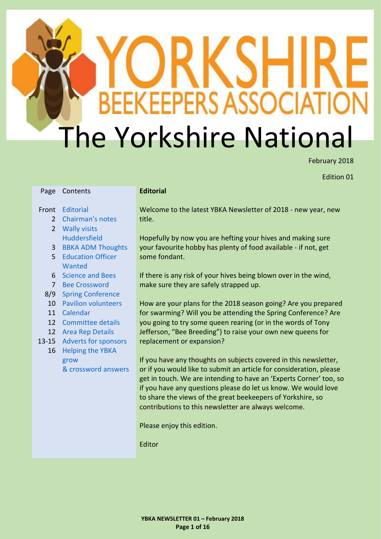# ׇ֘֒ **BEEKEEPERS ASSOCI** The Yorkshire National

February 2018

Edition 01

| Page           | Contents                    | <b>Editorial</b> |
|----------------|-----------------------------|------------------|
| Front          | <b>Editorial</b>            | Welcome          |
| 2              | Chairman's notes            | title.           |
| $\overline{2}$ | <b>Wally visits</b>         |                  |
|                | <b>Huddersfield</b>         | Hopefully        |
| 3              | <b>BBKA ADM Thoughts</b>    | your favo        |
| 5              | <b>Education Officer</b>    | some fon         |
|                | Wanted                      |                  |
| 6              | <b>Science and Bees</b>     | If there is      |
| $\overline{7}$ | <b>Bee Crossword</b>        | make sur         |
| 8/9            | <b>Spring Conference</b>    |                  |
| 10             | <b>Pavilion volunteers</b>  | How are          |
| 11             | Calendar                    | for swarr        |
| 12             | <b>Committee details</b>    | you going        |
| 12             | <b>Area Rep Details</b>     | Jefferson        |
| $13 - 15$      | <b>Adverts for sponsors</b> | replacem         |
| 16             | <b>Helping the YBKA</b>     |                  |
|                | grow                        | If you hav       |
|                | & crossword answers         | or if you        |
|                |                             | get in tou       |
|                |                             | if you hay       |
|                |                             | to share         |
|                |                             | contribut        |
|                |                             |                  |

<span id="page-0-0"></span>e to the latest YBKA Newsletter of 2018 - new year, new

y by now you are hefting your hives and making sure burite hobby has plenty of food available - if not, get dant.

s any risk of your hives being blown over in the wind, e they are safely strapped up.

your plans for the 2018 season going? Are you prepared ming? Will you be attending the Spring Conference? Are g to try some queen rearing (or in the words of Tony , "Bee Breeding") to raise your own new queens for rent or expansion?

ve any thoughts on subjects covered in this newsletter, would like to submit an article for consideration, please uch. We are intending to have an 'Experts Corner' too, so ve any questions please do let us know. We would love the views of the great beekeepers of Yorkshire, so tions to this newsletter are always welcome.

Please enjoy this edition.

Editor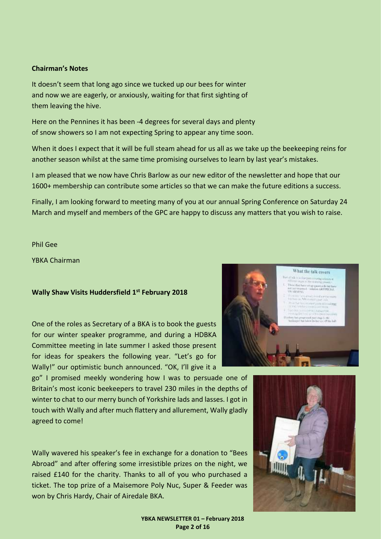#### <span id="page-1-0"></span>**Chairman's Notes**

It doesn't seem that long ago since we tucked up our bees for winter and now we are eagerly, or anxiously, waiting for that first sighting of them leaving the hive.

Here on the Pennines it has been -4 degrees for several days and plenty of snow showers so I am not expecting Spring to appear any time soon.

When it does I expect that it will be full steam ahead for us all as we take up the beekeeping reins for another season whilst at the same time promising ourselves to learn by last year's mistakes.

I am pleased that we now have Chris Barlow as our new editor of the newsletter and hope that our 1600+ membership can contribute some articles so that we can make the future editions a success.

Finally, I am looking forward to meeting many of you at our annual Spring Conference on Saturday 24 March and myself and members of the GPC are happy to discuss any matters that you wish to raise.

Phil Gee

YBKA Chairman

#### <span id="page-1-1"></span>**Wally Shaw Visits Huddersfield 1st February 2018**

One of the roles as Secretary of a BKA is to book the guests for our winter speaker programme, and during a HDBKA Committee meeting in late summer I asked those present for ideas for speakers the following year. "Let's go for Wally!" our optimistic bunch announced. "OK, I'll give it a

go" I promised meekly wondering how I was to persuade one of Britain's most iconic beekeepers to travel 230 miles in the depths of winter to chat to our merry bunch of Yorkshire lads and lasses. I got in touch with Wally and after much flattery and allurement, Wally gladly agreed to come!

Wally wavered his speaker's fee in exchange for a donation to "Bees Abroad" and after offering some irresistible prizes on the night, we raised £140 for the charity. Thanks to all of you who purchased a ticket. The top prize of a Maisemore Poly Nuc, Super & Feeder was won by Chris Hardy, Chair of Airedale BKA.





**YBKA NEWSLETTER 01 – February 2018 Page 2 of 16**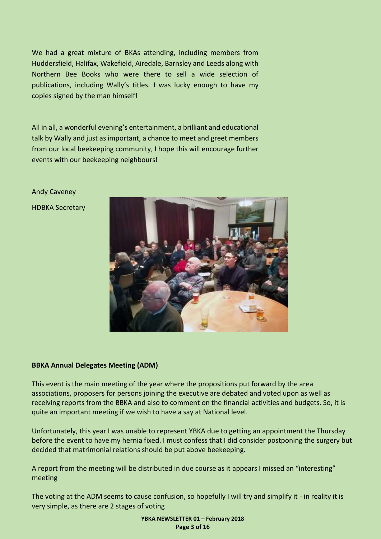We had a great mixture of BKAs attending, including members from Huddersfield, Halifax, Wakefield, Airedale, Barnsley and Leeds along with Northern Bee Books who were there to sell a wide selection of publications, including Wally's titles. I was lucky enough to have my copies signed by the man himself!

All in all, a wonderful evening's entertainment, a brilliant and educational talk by Wally and just as important, a chance to meet and greet members from our local beekeeping community, I hope this will encourage further events with our beekeeping neighbours!

Andy Caveney HDBKA Secretary



#### <span id="page-2-0"></span>**BBKA Annual Delegates Meeting (ADM)**

This event is the main meeting of the year where the propositions put forward by the area associations, proposers for persons joining the executive are debated and voted upon as well as receiving reports from the BBKA and also to comment on the financial activities and budgets. So, it is quite an important meeting if we wish to have a say at National level.

Unfortunately, this year I was unable to represent YBKA due to getting an appointment the Thursday before the event to have my hernia fixed. I must confess that I did consider postponing the surgery but decided that matrimonial relations should be put above beekeeping.

A report from the meeting will be distributed in due course as it appears I missed an "interesting" meeting

The voting at the ADM seems to cause confusion, so hopefully I will try and simplify it - in reality it is very simple, as there are 2 stages of voting

> **YBKA NEWSLETTER 01 – February 2018 Page 3 of 16**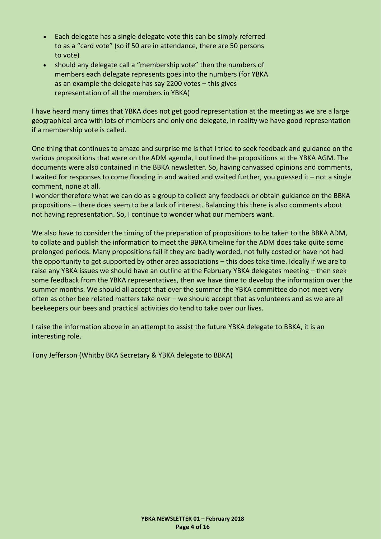- Each delegate has a single delegate vote this can be simply referred to as a "card vote" (so if 50 are in attendance, there are 50 persons to vote)
- should any delegate call a "membership vote" then the numbers of members each delegate represents goes into the numbers (for YBKA as an example the delegate has say 2200 votes – this gives representation of all the members in YBKA)

I have heard many times that YBKA does not get good representation at the meeting as we are a large geographical area with lots of members and only one delegate, in reality we have good representation if a membership vote is called.

One thing that continues to amaze and surprise me is that I tried to seek feedback and guidance on the various propositions that were on the ADM agenda, I outlined the propositions at the YBKA AGM. The documents were also contained in the BBKA newsletter. So, having canvassed opinions and comments, I waited for responses to come flooding in and waited and waited further, you guessed it – not a single comment, none at all.

I wonder therefore what we can do as a group to collect any feedback or obtain guidance on the BBKA propositions – there does seem to be a lack of interest. Balancing this there is also comments about not having representation. So, I continue to wonder what our members want.

We also have to consider the timing of the preparation of propositions to be taken to the BBKA ADM, to collate and publish the information to meet the BBKA timeline for the ADM does take quite some prolonged periods. Many propositions fail if they are badly worded, not fully costed or have not had the opportunity to get supported by other area associations – this does take time. Ideally if we are to raise any YBKA issues we should have an outline at the February YBKA delegates meeting – then seek some feedback from the YBKA representatives, then we have time to develop the information over the summer months. We should all accept that over the summer the YBKA committee do not meet very often as other bee related matters take over – we should accept that as volunteers and as we are all beekeepers our bees and practical activities do tend to take over our lives.

I raise the information above in an attempt to assist the future YBKA delegate to BBKA, it is an interesting role.

Tony Jefferson (Whitby BKA Secretary & YBKA delegate to BBKA)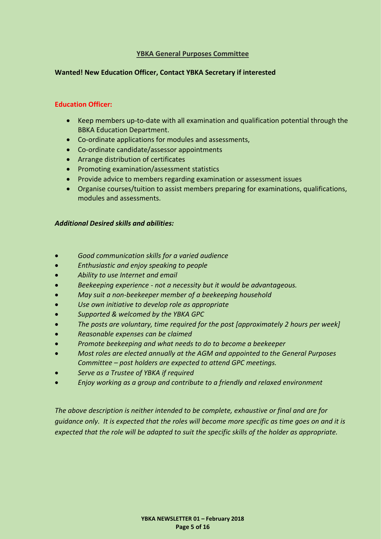#### **YBKA General Purposes Committee**

#### <span id="page-4-0"></span>**Wanted! New Education Officer, Contact YBKA Secretary if interested**

#### **Education Officer:**

- Keep members up-to-date with all examination and qualification potential through the BBKA Education Department.
- Co-ordinate applications for modules and assessments,
- Co-ordinate candidate/assessor appointments
- Arrange distribution of certificates
- Promoting examination/assessment statistics
- Provide advice to members regarding examination or assessment issues
- Organise courses/tuition to assist members preparing for examinations, qualifications, modules and assessments.

#### *Additional Desired skills and abilities:*

- *Good communication skills for a varied audience*
- *Enthusiastic and enjoy speaking to people*
- *Ability to use Internet and email*
- *Beekeeping experience - not a necessity but it would be advantageous.*
- *May suit a non-beekeeper member of a beekeeping household*
- *Use own initiative to develop role as appropriate*
- *Supported & welcomed by the YBKA GPC*
- *The posts are voluntary, time required for the post [approximately 2 hours per week]*
- *Reasonable expenses can be claimed*
- *Promote beekeeping and what needs to do to become a beekeeper*
- *Most roles are elected annually at the AGM and appointed to the General Purposes Committee – post holders are expected to attend GPC meetings.*
- *Serve as a Trustee of YBKA if required*
- *Enjoy working as a group and contribute to a friendly and relaxed environment*

*The above description is neither intended to be complete, exhaustive or final and are for guidance only. It is expected that the roles will become more specific as time goes on and it is expected that the role will be adapted to suit the specific skills of the holder as appropriate.*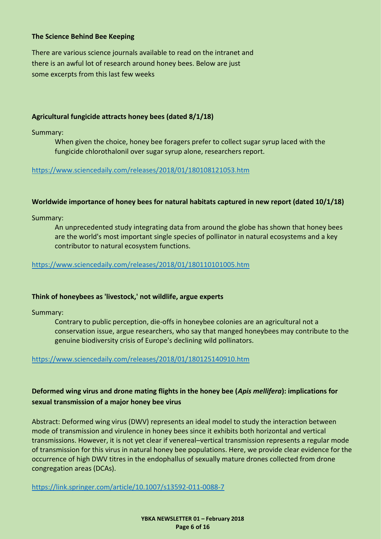#### <span id="page-5-0"></span>**The Science Behind Bee Keeping**

There are various science journals available to read on the intranet and there is an awful lot of research around honey bees. Below are just some excerpts from this last few weeks

#### **Agricultural fungicide attracts honey bees (dated 8/1/18)**

Summary:

When given the choice, honey bee foragers prefer to collect sugar syrup laced with the fungicide chlorothalonil over sugar syrup alone, researchers report.

#### <https://www.sciencedaily.com/releases/2018/01/180108121053.htm>

#### **Worldwide importance of honey bees for natural habitats captured in new report (dated 10/1/18)**

Summary:

An unprecedented study integrating data from around the globe has shown that honey bees are the world's most important single species of pollinator in natural ecosystems and a key contributor to natural ecosystem functions.

#### <https://www.sciencedaily.com/releases/2018/01/180110101005.htm>

#### **Think of honeybees as 'livestock,' not wildlife, argue experts**

Summary:

Contrary to public perception, die-offs in honeybee colonies are an agricultural not a conservation issue, argue researchers, who say that manged honeybees may contribute to the genuine biodiversity crisis of Europe's declining wild pollinators.

#### <https://www.sciencedaily.com/releases/2018/01/180125140910.htm>

#### **Deformed wing virus and drone mating flights in the honey bee (***Apis mellifera***): implications for sexual transmission of a major honey bee virus**

Abstract: Deformed wing virus (DWV) represents an ideal model to study the interaction between mode of transmission and virulence in honey bees since it exhibits both horizontal and vertical transmissions. However, it is not yet clear if venereal–vertical transmission represents a regular mode of transmission for this virus in natural honey bee populations. Here, we provide clear evidence for the occurrence of high DWV titres in the endophallus of sexually mature drones collected from drone congregation areas (DCAs).

<https://link.springer.com/article/10.1007/s13592-011-0088-7>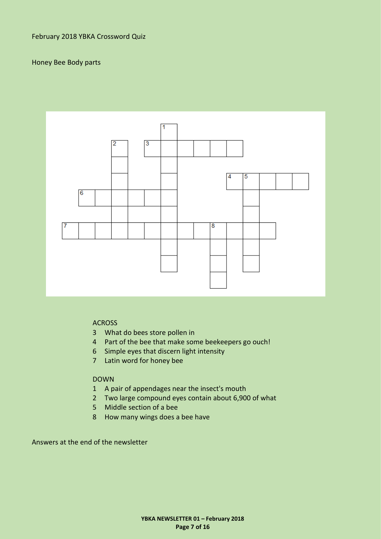#### <span id="page-6-0"></span>Honey Bee Body parts



#### ACROSS

- 3 What do bees store pollen in
- 4 Part of the bee that make some beekeepers go ouch!
- 6 Simple eyes that discern light intensity
- 7 Latin word for honey bee

#### DOWN

- 1 A pair of appendages near the insect's mouth
- 2 Two large compound eyes contain about 6,900 of what
- 5 Middle section of a bee
- 8 How many wings does a bee have

Answers at the end of the newsletter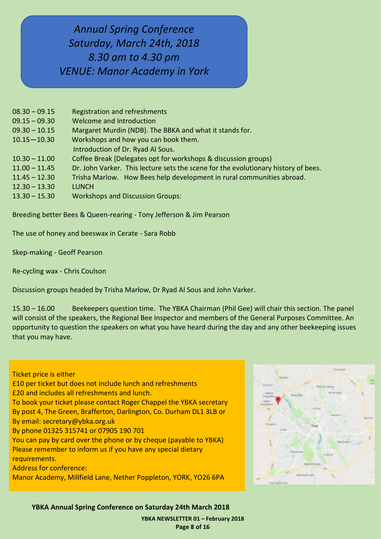# <span id="page-7-0"></span>*Annual Spring Conference Saturday, March 24th, 2018 8.30 am to 4.30 pm VENUE: Manor Academy in York*

| $08.30 - 09.15$ | Registration and refreshments                                                      |
|-----------------|------------------------------------------------------------------------------------|
| $09.15 - 09.30$ | <b>Welcome and Introduction</b>                                                    |
| $09.30 - 10.15$ | Margaret Murdin (NDB). The BBKA and what it stands for.                            |
| $10.15 - 10.30$ | Workshops and how you can book them.                                               |
|                 | Introduction of Dr. Ryad Al Sous.                                                  |
| $10.30 - 11.00$ | Coffee Break [Delegates opt for workshops & discussion groups]                     |
| $11.00 - 11.45$ | Dr. John Varker. This lecture sets the scene for the evolutionary history of bees. |
| $11.45 - 12.30$ | Trisha Marlow. How Bees help development in rural communities abroad.              |
| $12.30 - 13.30$ | <b>LUNCH</b>                                                                       |
| $13.30 - 15.30$ | <b>Workshops and Discussion Groups:</b>                                            |
|                 |                                                                                    |

Breeding better Bees & Queen-rearing - Tony Jefferson & Jim Pearson

The use of honey and beeswax in Cerate - Sara Robb

Skep-making - Geoff Pearson

Re-cycling wax - Chris Coulson

Discussion groups headed by Trisha Marlow, Dr Ryad Al Sous and John Varker.

15.30 – 16.00 Beekeepers question time. The YBKA Chairman (Phil Gee) will chair this section. The panel will consist of the speakers, the Regional Bee Inspector and members of the General Purposes Committee. An opportunity to question the speakers on what you have heard during the day and any other beekeeping issues that you may have.

Ticket price is either

£10 per ticket but does not include lunch and refreshments

£20 and includes all refreshments and lunch.

To book your ticket please contact Roger Chappel the YBKA secretary

By post 4, The Green, Brafferton, Darlington, Co. Durham DL1 3LB or By email: secretary@ybka.org.uk

By phone 01325 315741 or 07905 190 701

You can pay by card over the phone or by cheque (payable to YBKA) Please remember to inform us if you have any special dietary requirements.

Address for conference:

Manor Academy, Millfield Lane, Nether Poppleton, YORK, YO26 6PA



**YBKA Annual Spring Conference on Saturday 24th March 2018**

**YBKA NEWSLETTER 01 – February 2018 Page 8 of 16**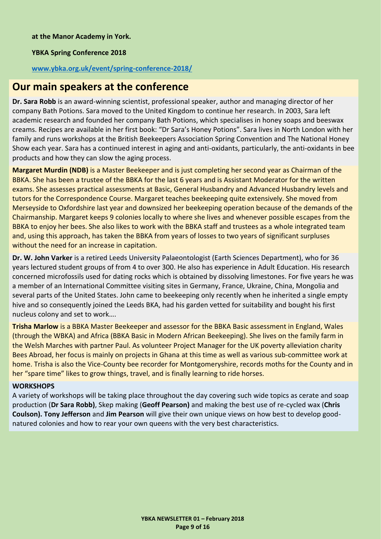#### **YBKA Spring Conference 2018**

#### **[www.ybka.org.uk/event/spring-conference-2018/](file:///C:/Users/eliza/Downloads/www.ybka.org.uk/event/spring-conference-2018/)**

### **Our main speakers at the conference**

**Dr. Sara Robb** is an award-winning scientist, professional speaker, author and managing director of her company Bath Potions. Sara moved to the United Kingdom to continue her research. In 2003, Sara left academic research and founded her company Bath Potions, which specialises in honey soaps and beeswax creams. Recipes are available in her first book: "Dr Sara's Honey Potions". Sara lives in North London with her family and runs workshops at the British Beekeepers Association Spring Convention and The National Honey Show each year. Sara has a continued interest in aging and anti-oxidants, particularly, the anti-oxidants in bee products and how they can slow the aging process.

**Margaret Murdin (NDB)** is a Master Beekeeper and is just completing her second year as Chairman of the BBKA. She has been a trustee of the BBKA for the last 6 years and is Assistant Moderator for the written exams. She assesses practical assessments at Basic, General Husbandry and Advanced Husbandry levels and tutors for the Correspondence Course. Margaret teaches beekeeping quite extensively. She moved from Merseyside to Oxfordshire last year and downsized her beekeeping operation because of the demands of the Chairmanship. Margaret keeps 9 colonies locally to where she lives and whenever possible escapes from the BBKA to enjoy her bees. She also likes to work with the BBKA staff and trustees as a whole integrated team and, using this approach, has taken the BBKA from years of losses to two years of significant surpluses without the need for an increase in capitation.

**Dr. W. John Varker** is a retired Leeds University Palaeontologist (Earth Sciences Department), who for 36 years lectured student groups of from 4 to over 300. He also has experience in Adult Education. His research concerned microfossils used for dating rocks which is obtained by dissolving limestones. For five years he was a member of an International Committee visiting sites in Germany, France, Ukraine, China, Mongolia and several parts of the United States. John came to beekeeping only recently when he inherited a single empty hive and so consequently joined the Leeds BKA, had his garden vetted for suitability and bought his first nucleus colony and set to work….

**Trisha Marlow** is a BBKA Master Beekeeper and assessor for the BBKA Basic assessment in England, Wales (through the WBKA) and Africa (BBKA Basic in Modern African Beekeeping). She lives on the family farm in the Welsh Marches with partner Paul. As volunteer Project Manager for the UK poverty alleviation charity Bees Abroad, her focus is mainly on projects in Ghana at this time as well as various sub-committee work at home. Trisha is also the Vice-County bee recorder for Montgomeryshire, records moths for the County and in her "spare time" likes to grow things, travel, and is finally learning to ride horses.

#### **WORKSHOPS**

<span id="page-8-0"></span>A variety of workshops will be taking place throughout the day covering such wide topics as cerate and soap production (**Dr Sara Robb)**, Skep making (**Geoff Pearson)** and making the best use of re-cycled wax (**Chris Coulson). Tony Jefferson** and **Jim Pearson** will give their own unique views on how best to develop goodnatured colonies and how to rear your own queens with the very best characteristics.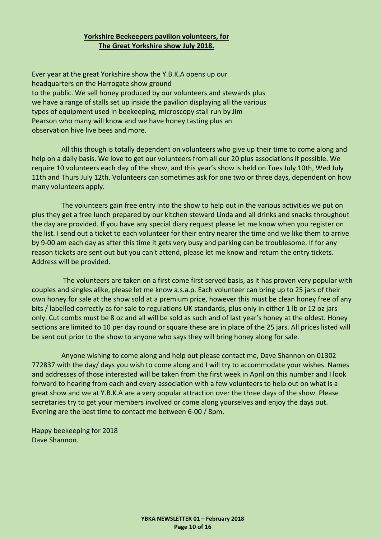#### **Yorkshire Beekeepers pavilion volunteers, for The Great Yorkshire show July 2018.**

Ever year at the great Yorkshire show the Y.B.K.A opens up our headquarters on the Harrogate show ground to the public. We sell honey produced by our volunteers and stewards plus we have a range of stalls set up inside the pavilion displaying all the various types of equipment used in beekeeping, microscopy stall run by Jim Pearson who many will know and we have honey tasting plus an observation hive live bees and more.

 All this though is totally dependent on volunteers who give up their time to come along and help on a daily basis. We love to get our volunteers from all our 20 plus associations if possible. We require 10 volunteers each day of the show, and this year's show is held on Tues July 10th, Wed July 11th and Thurs July 12th. Volunteers can sometimes ask for one two or three days, dependent on how many volunteers apply.

 The volunteers gain free entry into the show to help out in the various activities we put on plus they get a free lunch prepared by our kitchen steward Linda and all drinks and snacks throughout the day are provided. If you have any special diary request please let me know when you register on the list. I send out a ticket to each volunteer for their entry nearer the time and we like them to arrive by 9-00 am each day as after this time it gets very busy and parking can be troublesome. If for any reason tickets are sent out but you can't attend, please let me know and return the entry tickets. Address will be provided.

 The volunteers are taken on a first come first served basis, as it has proven very popular with couples and singles alike, please let me know a.s.a.p. Each volunteer can bring up to 25 jars of their own honey for sale at the show sold at a premium price, however this must be clean honey free of any bits / labelled correctly as for sale to regulations UK standards, plus only in either 1 lb or 12 oz jars only. Cut combs must be 8 oz and all will be sold as such and of last year's honey at the oldest. Honey sections are limited to 10 per day round or square these are in place of the 25 jars. All prices listed will be sent out prior to the show to anyone who says they will bring honey along for sale.

 Anyone wishing to come along and help out please contact me, Dave Shannon on 01302 772837 with the day/ days you wish to come along and I will try to accommodate your wishes. Names and addresses of those interested will be taken from the first week in April on this number and I look forward to hearing from each and every association with a few volunteers to help out on what is a great show and we at Y.B.K.A are a very popular attraction over the three days of the show. Please secretaries try to get your members involved or come along yourselves and enjoy the days out. Evening are the best time to contact me between 6-00 / 8pm.

Happy beekeeping for 2018 Dave Shannon.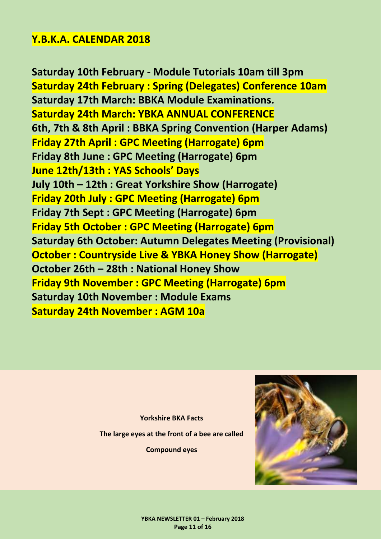## <span id="page-10-0"></span>**Y.B.K.A. CALENDAR 2018**

**Saturday 10th February - Module Tutorials 10am till 3pm Saturday 24th February : Spring (Delegates) Conference 10am Saturday 17th March: BBKA Module Examinations. Saturday 24th March: YBKA ANNUAL CONFERENCE 6th, 7th & 8th April : BBKA Spring Convention (Harper Adams) Friday 27th April : GPC Meeting (Harrogate) 6pm Friday 8th June : GPC Meeting (Harrogate) 6pm June 12th/13th : YAS Schools' Days July 10th – 12th : Great Yorkshire Show (Harrogate) Friday 20th July : GPC Meeting (Harrogate) 6pm Friday 7th Sept : GPC Meeting (Harrogate) 6pm Friday 5th October : GPC Meeting (Harrogate) 6pm Saturday 6th October: Autumn Delegates Meeting (Provisional) October : Countryside Live & YBKA Honey Show (Harrogate) October 26th – 28th : National Honey Show Friday 9th November : GPC Meeting (Harrogate) 6pm Saturday 10th November : Module Exams Saturday 24th November : AGM 10a**

> **Yorkshire BKA Facts The large eyes at the front of a bee are called Compound eyes**

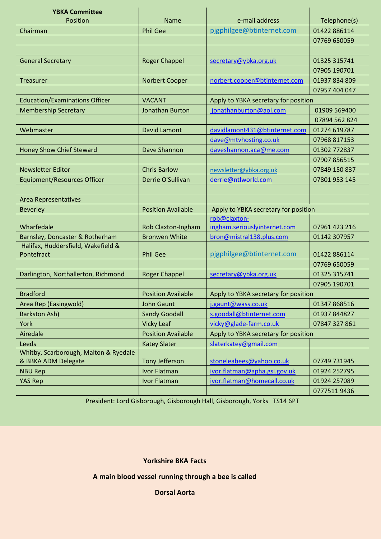<span id="page-11-0"></span>

| <b>YBKA Committee</b>                                        |                           |                                      |               |
|--------------------------------------------------------------|---------------------------|--------------------------------------|---------------|
| Position                                                     | <b>Name</b>               | e-mail address                       | Telephone(s)  |
| Chairman                                                     | <b>Phil Gee</b>           | pjgphilgee@btinternet.com            | 01422 886114  |
|                                                              |                           |                                      | 07769 650059  |
|                                                              |                           |                                      |               |
| <b>General Secretary</b>                                     | <b>Roger Chappel</b>      | secretary@ybka.org.uk                | 01325 315741  |
|                                                              |                           |                                      | 07905 190701  |
| <b>Treasurer</b>                                             | Norbert Cooper            | norbert.cooper@btinternet.com        | 01937 834 809 |
|                                                              |                           |                                      | 07957 404 047 |
| <b>Education/Examinations Officer</b>                        | <b>VACANT</b>             | Apply to YBKA secretary for position |               |
| <b>Membership Secretary</b>                                  | <b>Jonathan Burton</b>    | jonathanburton@aol.com               | 01909 569400  |
|                                                              |                           |                                      | 07894 562 824 |
| Webmaster                                                    | <b>David Lamont</b>       | davidlamont431@btinternet.com        | 01274 619787  |
|                                                              |                           | dave@mtvhosting.co.uk                | 07968 817153  |
| <b>Honey Show Chief Steward</b>                              | Dave Shannon              | daveshannon.aca@me.com               | 01302 772837  |
|                                                              |                           |                                      | 07907 856515  |
| <b>Newsletter Editor</b>                                     | <b>Chris Barlow</b>       | newsletter@ybka.org.uk               | 07849 150 837 |
| <b>Equipment/Resources Officer</b>                           | Derrie O'Sullivan         | derrie@ntlworld.com                  | 07801 953 145 |
|                                                              |                           |                                      |               |
| <b>Area Representatives</b>                                  |                           |                                      |               |
| <b>Beverley</b>                                              | <b>Position Available</b> | Apply to YBKA secretary for position |               |
|                                                              |                           | rob@claxton-                         |               |
| Wharfedale                                                   | Rob Claxton-Ingham        | ingham.seriouslyinternet.com         | 07961 423 216 |
| Barnsley, Doncaster & Rotherham                              | <b>Bronwen White</b>      | bron@mistral138.plus.com             | 01142 307957  |
| Halifax, Huddersfield, Wakefield &                           |                           |                                      |               |
| Pontefract                                                   | <b>Phil Gee</b>           | pjgphilgee@btinternet.com            | 01422 886114  |
|                                                              |                           |                                      | 07769 650059  |
| Darlington, Northallerton, Richmond                          | <b>Roger Chappel</b>      | secretary@ybka.org.uk                | 01325 315741  |
|                                                              |                           |                                      | 07905 190701  |
| <b>Bradford</b>                                              | <b>Position Available</b> | Apply to YBKA secretary for position |               |
| Area Rep (Easingwold)                                        | <b>John Gaunt</b>         | j.gaunt@wass.co.uk                   | 01347 868516  |
| <b>Barkston Ash)</b>                                         | <b>Sandy Goodall</b>      | s.goodall@btinternet.com             | 01937 844827  |
| York                                                         | <b>Vicky Leaf</b>         | vicky@glade-farm.co.uk               | 07847 327 861 |
| Airedale                                                     | <b>Position Available</b> | Apply to YBKA secretary for position |               |
| Leeds                                                        | <b>Katey Slater</b>       | slaterkatey@gmail.com                |               |
| Whitby, Scarborough, Malton & Ryedale<br>& BBKA ADM Delegate | <b>Tony Jefferson</b>     | stoneleabees@yahoo.co.uk             | 07749 731945  |
| <b>NBU Rep</b>                                               | <b>Ivor Flatman</b>       | ivor.flatman@apha.gsi.gov.uk         | 01924 252795  |
| <b>YAS Rep</b>                                               | Ivor Flatman              | ivor.flatman@homecall.co.uk          | 01924 257089  |
|                                                              |                           |                                      | 07775119436   |

President: Lord Gisborough, Gisborough Hall, Gisborough, Yorks TS14 6PT

#### **Yorkshire BKA Facts**

**A main blood vessel running through a bee is called** 

**Dorsal Aorta**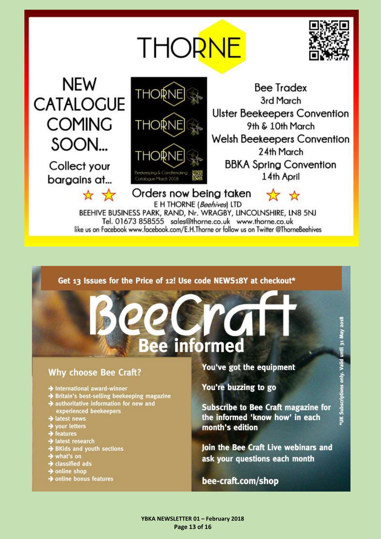# **THORNE**



<span id="page-12-0"></span>**NEW CATALOGUE COMING** SOON... Collect your

bargains at...

\* \*



**Bee Tradex** 3rd March **Ulster Beekeepers Convention** 9th & 10th March **Welsh Beekeepers Convention** 24th March **BBKA Spring Convention** 14th April

Orders now being taken E H THORNE (Beehives) LTD

 $\frac{1}{2}$ 

BEEHIVE BUSINESS PARK, RAND, Nr. WRAGBY, LINCOLNSHIRE, LN8 5NJ Tel. 01673 858555 sales@thorne.co.uk www.thorne.co.uk like us on Facebook www.facebook.com/E.H.Thorne or follow us on Twitter @ThorneBeehives

### Get 13 Issues for the Price of 12! Use code NEWS18Y at checkout\*

# ee informed R

Page 13 of 16

## **Why choose Bee Craft?**

- $\rightarrow$  International award-winner
- **Britain's best-selling beekeeping magazine**
- $\rightarrow$  authoritative information for new and experienced beekeepers
- latest news
- vour letters
- $\rightarrow$  features
- latest research
- **BKids and youth sections**
- 
- what's on<br>Classified ads
- online shop
- $\rightarrow$  online bonus features

You've got the equipment

You're buzzing to go

**Subscribe to Bee Craft magazine for** the informed 'know how' in each month's edition

loin the Bee Craft Live webinars and ask your questions each month

bee-craft.com/shop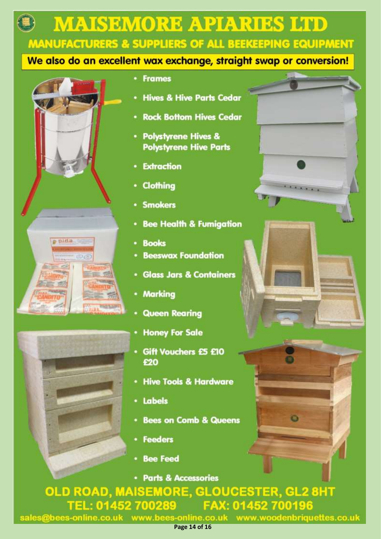**MAISEMORE APIARIES LITD MANUFACTURERS & SUPPLIERS OF ALL BEEKEEPING EQUIPMENT** 

## We also do an excellent wax exchange, straight swap or conversion!





#### **Frames**

- **Hives & Hive Parts Cedar**
- **Rock Bottom Hives Cedar**
- **Polystyrene Hives & Polystyrene Hive Parts**
- **Extraction**
- Clothing
- **Smokers**
- **Bee Health & Fumigation**
- **Books**
- **Beeswax Foundation**
- **Glass Jars & Containers**
- **Marking**
- **Queen Rearing**
- **Honey For Sale**
- Gift Vouchers £5 £10 £20
- **Hive Tools & Hardware**
- Labels
- **Bees on Comb & Queens**
- **Feeders**
- **Bee Feed**
- **Parts & Accessories**

OLD ROAD, MAISEMORE, GLOUCESTER, GL2 8HT TEL: 01452 700289 FAX: 01452 700196 sales@bees-online.co.uk www.bees-online.co.uk www.woodenbriquettes.co.uk

G)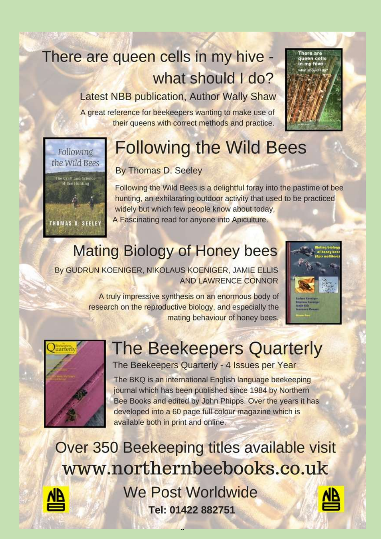# There are queen cells in my hive what should I do?

# **Latest NBB publication, Author Wally Shaw**

A great reference for beekeepers wanting to make use of their queens with correct methods and practice.



# **Following the Wild Bees**

## By Thomas D. Seeley

Following the Wild Bees is a delightful foray into the pastime of bee hunting, an exhilarating outdoor activity that used to be practiced widely but which few people know about today, A Fascinating read for anyone into Apiculture.

# **Mating Biology of Honey bees**

By GUDRUN KOENIGER, NIKOLAUS KOENIGER, JAMIE ELLIS **AND LAWRENCE CONNOR** 

> A truly impressive synthesis on an enormous body of research on the reproductive biology, and especially the mating behaviour of honey bees.





# **The Beekeepers Quarterly**

The Beekeepers Quarterly - 4 Issues per Year

The BKQ is an international English language beekeeping journal which has been published since 1984 by Northern Bee Books and edited by John Phipps. Over the years it has developed into a 60 page full colour magazine which is available both in print and online.

Over 350 Beekeeping titles available visit www.northernbeebooks.co.uk **We Post Worldwide** Tel: 01422 882751